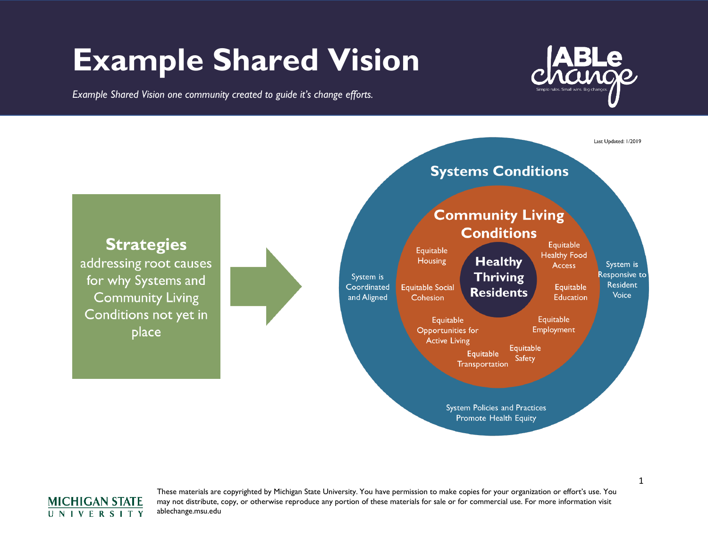## **Example Shared Vision**

*Example Shared Vision one community created to guide it's change efforts.*







These materials are copyrighted by Michigan State University. You have permission to make copies for your organization or effort's use. You may not distribute, copy, or otherwise reproduce any portion of these materials for sale or for commercial use. For more information visit ablechange.msu.edu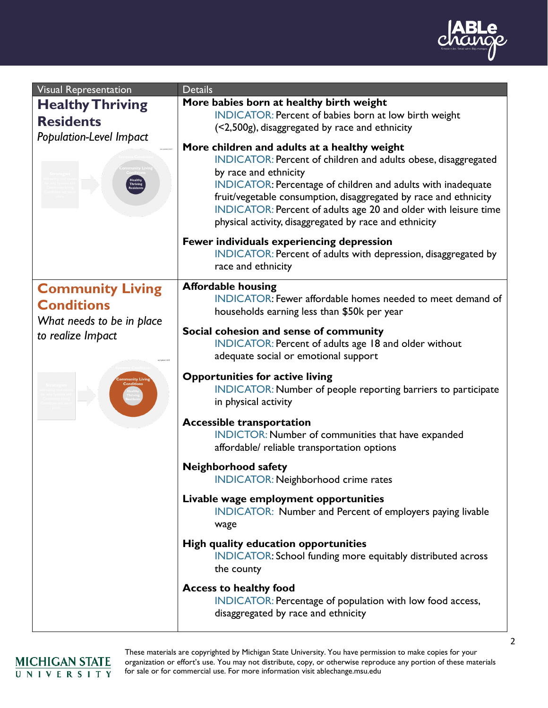

| Visual Representation                                                                          | <b>Details</b>                                                                                                                                                                                                                                                                                                                                                                                           |
|------------------------------------------------------------------------------------------------|----------------------------------------------------------------------------------------------------------------------------------------------------------------------------------------------------------------------------------------------------------------------------------------------------------------------------------------------------------------------------------------------------------|
| <b>Healthy Thriving</b><br><b>Residents</b><br>Population-Level Impact                         | More babies born at healthy birth weight<br>INDICATOR: Percent of babies born at low birth weight<br>(<2,500g), disaggregated by race and ethnicity                                                                                                                                                                                                                                                      |
|                                                                                                | More children and adults at a healthy weight<br>INDICATOR: Percent of children and adults obese, disaggregated<br>by race and ethnicity<br>INDICATOR: Percentage of children and adults with inadequate<br>fruit/vegetable consumption, disaggregated by race and ethnicity<br>INDICATOR: Percent of adults age 20 and older with leisure time<br>physical activity, disaggregated by race and ethnicity |
|                                                                                                | Fewer individuals experiencing depression<br>INDICATOR: Percent of adults with depression, disaggregated by<br>race and ethnicity                                                                                                                                                                                                                                                                        |
| <b>Community Living</b><br><b>Conditions</b><br>What needs to be in place<br>to realize Impact | <b>Affordable housing</b><br>INDICATOR: Fewer affordable homes needed to meet demand of<br>households earning less than \$50k per year                                                                                                                                                                                                                                                                   |
|                                                                                                | Social cohesion and sense of community<br>INDICATOR: Percent of adults age 18 and older without<br>adequate social or emotional support                                                                                                                                                                                                                                                                  |
|                                                                                                | <b>Opportunities for active living</b><br>INDICATOR: Number of people reporting barriers to participate<br>in physical activity                                                                                                                                                                                                                                                                          |
|                                                                                                | <b>Accessible transportation</b><br>INDICTOR: Number of communities that have expanded<br>affordable/ reliable transportation options                                                                                                                                                                                                                                                                    |
|                                                                                                | <b>Neighborhood safety</b><br><b>INDICATOR: Neighborhood crime rates</b>                                                                                                                                                                                                                                                                                                                                 |
|                                                                                                | Livable wage employment opportunities<br>INDICATOR: Number and Percent of employers paying livable<br>wage                                                                                                                                                                                                                                                                                               |
|                                                                                                | <b>High quality education opportunities</b><br>INDICATOR: School funding more equitably distributed across<br>the county                                                                                                                                                                                                                                                                                 |
|                                                                                                | <b>Access to healthy food</b><br>INDICATOR: Percentage of population with low food access,<br>disaggregated by race and ethnicity                                                                                                                                                                                                                                                                        |